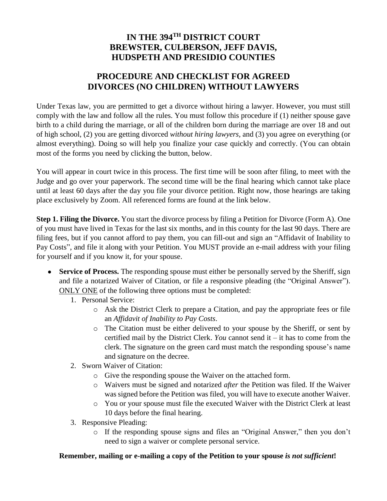## **IN THE 394TH DISTRICT COURT BREWSTER, CULBERSON, JEFF DAVIS, HUDSPETH AND PRESIDIO COUNTIES**

## **PROCEDURE AND CHECKLIST FOR AGREED DIVORCES (NO CHILDREN) WITHOUT LAWYERS**

Under Texas law, you are permitted to get a divorce without hiring a lawyer. However, you must still comply with the law and follow all the rules. You must follow this procedure if (1) neither spouse gave birth to a child during the marriage, or all of the children born during the marriage are over 18 and out of high school, (2) you are getting divorced *without hiring lawyers,* and (3) you agree on everything (or almost everything). Doing so will help you finalize your case quickly and correctly. (You can obtain most of the forms you need by clicking the button, below.

You will appear in court twice in this process. The first time will be soon after filing, to meet with the Judge and go over your paperwork. The second time will be the final hearing which cannot take place until at least 60 days after the day you file your divorce petition. Right now, those hearings are taking place exclusively by Zoom. All referenced forms are found at the link below.

**Step 1. Filing the Divorce.** You start the divorce process by filing a Petition for Divorce (Form A). One of you must have lived in Texas for the last six months, and in this county for the last 90 days. There are filing fees, but if you cannot afford to pay them, you can fill-out and sign an "Affidavit of Inability to Pay Costs", and file it along with your Petition. You MUST provide an e-mail address with your filing for yourself and if you know it, for your spouse.

- Service of Process. The responding spouse must either be personally served by the Sheriff, sign and file a notarized Waiver of Citation, or file a responsive pleading (the "Original Answer"). ONLY ONE of the following three options must be completed:
	- 1. Personal Service:
		- o Ask the District Clerk to prepare a Citation, and pay the appropriate fees or file an *Affidavit of Inability to Pay Costs*.
		- o The Citation must be either delivered to your spouse by the Sheriff, or sent by certified mail by the District Clerk. *You* cannot send it – it has to come from the clerk. The signature on the green card must match the responding spouse's name and signature on the decree.
	- 2. Sworn Waiver of Citation:
		- o Give the responding spouse the Waiver on the attached form.
		- o Waivers must be signed and notarized *after* the Petition was filed. If the Waiver was signed before the Petition was filed, you will have to execute another Waiver.
		- o You or your spouse must file the executed Waiver with the District Clerk at least 10 days before the final hearing.
	- 3. Responsive Pleading:
		- o If the responding spouse signs and files an "Original Answer," then you don't need to sign a waiver or complete personal service.

## **Remember, mailing or e-mailing a copy of the Petition to your spouse** *is not sufficient***!**